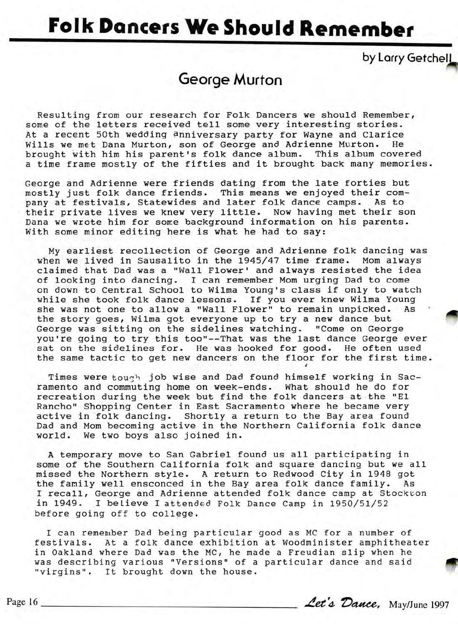## **Folk Dancers We Should Remember**

by Larry Getchell

## George Murton

Resulting from our research for Folk Dancers we should Remember, some of the letters received tell some very interesting stories. At a recent 50th wedding anniversary party for Wayne and Clarice Wills we met Dana Murton, son of George and Adrienne Murton. He brought with him his parent's folk dance album. This album covered a time frame mostly of the fifties and it brought back many memories.

George and Adrienne were friends dating from the late forties but mostly just folk dance friends. This means we enjoyed their company at festivals, Statewides and later folk dance camps. As to their private lives we knew very little. Now having met their son Dana we wrote him for some background information on his parents. With some minor editing here is what he had to say:

My earliest recollection of George and Adrienne folk dancing was when we lived in Sausalito in the 1945/47 time frame. Mom always claimed that Dad was a "Wall Flower' and always resisted the idea of looking into dancing. I can remember Mom urging Dad to come on down to Central School to Wilma Young's class if only to watch<br>Thile she took folk dance lessons. If you ever knew Wilma Young<br>she was not one to allow a "Wall Flower" to remain unpicked. As while she took folk dance lessons. If you ever knew Wilma Young she was not one to allow a "Wall Flower" to remain unpicked. As<br>the story goes, Wilma got everyone up to try a new dance but George was sitting on the sidelines watching. "Come on George you're going to try this too"--That was the last dance George ever sat on the sidelines for. He was hooked for good. He often used the same tactic to get new dancers on the floor for the first time.

Times were tough job wise and Dad found himself working in Sacramento and commuting home on week-ends. What should he do for recreation during the week but find the folk dancers at the "El Rancho" Shopping Center in East Sacramento where he became very active in folk dancing. Shortly a return to the Bay area found Dad and Mom becoming active in the Northern California folk dance world. We two boys also joined in.

A temporary move to San Gabriel found us all participating in some of the Southern California folk and square dancing but we all missed the Northern style. A return to Redwood City in 1948 got the family well ensconced in the Bay area folk dance family. As I recall, George and Adrienne attended folk dance camp at Stockton in 1949. I believe I attended Folk Dance Camp in 1950/51/52 before going off to college.

I can remember Dad being particular good as MC for a number of festivals. At a folk dance exhibition at Woodminister amphitheater in Oakland where Dad was the MC, he made a Freudian slip when he in Oakland where Dad was the MC, he made a Freudian slip when he was describing various "Versions" of a particular dance and said "virgins". It brought down the house.<br>age 16 <u>Let's Dauce</u>, May/June 1997 "virgins". It brought down the house.